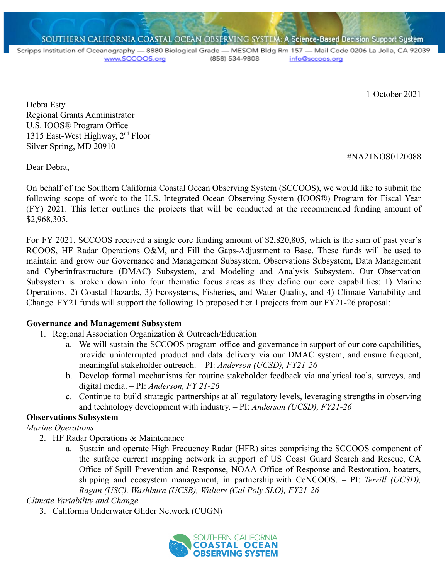SOUTHERN CALIFORNIA COASTAL OCEAN OBSERVING SYSTEM: A Science-Based Decision Support System

Scripps Institution of Oceanography - 8880 Biological Grade - MESOM Bldg Rm 157 - Mail Code 0206 La Jolla, CA 92039 www.SCCOOS.org (858) 534-9808 info@sccoos.org

1-October 2021

#NA21NOS0120088

Debra Esty Regional Grants Administrator U.S. IOOS® Program Office 1315 East-West Highway, 2nd Floor Silver Spring, MD 20910

Dear Debra,

On behalf of the Southern California Coastal Ocean Observing System (SCCOOS), we would like to submit the following scope of work to the U.S. Integrated Ocean Observing System (IOOS®) Program for Fiscal Year (FY) 2021. This letter outlines the projects that will be conducted at the recommended funding amount of \$2,968,305.

For FY 2021, SCCOOS received a single core funding amount of \$2,820,805, which is the sum of past year's RCOOS, HF Radar Operations O&M, and Fill the Gaps-Adjustment to Base. These funds will be used to maintain and grow our Governance and Management Subsystem, Observations Subsystem, Data Management and Cyberinfrastructure (DMAC) Subsystem, and Modeling and Analysis Subsystem. Our Observation Subsystem is broken down into four thematic focus areas as they define our core capabilities: 1) Marine Operations, 2) Coastal Hazards, 3) Ecosystems, Fisheries, and Water Quality, and 4) Climate Variability and Change. FY21 funds will support the following 15 proposed tier 1 projects from our FY21-26 proposal:

### **Governance and Management Subsystem**

- 1. Regional Association Organization & Outreach/Education
	- a. We will sustain the SCCOOS program office and governance in support of our core capabilities, provide uninterrupted product and data delivery via our DMAC system, and ensure frequent, meaningful stakeholder outreach. – PI: *Anderson (UCSD), FY21-26*
	- b. Develop formal mechanisms for routine stakeholder feedback via analytical tools, surveys, and digital media. – PI: *Anderson, FY 21-26*
	- c. Continue to build strategic partnerships at all regulatory levels, leveraging strengths in observing and technology development with industry. – PI: *Anderson (UCSD), FY21-26*

### **Observations Subsystem**

*Marine Operations*

- 2. HF Radar Operations & Maintenance
	- a. Sustain and operate High Frequency Radar (HFR) sites comprising the SCCOOS component of the surface current mapping network in support of US Coast Guard Search and Rescue, CA Office of Spill Prevention and Response, NOAA Office of Response and Restoration, boaters, shipping and ecosystem management, in partnership with CeNCOOS. – PI: *Terrill (UCSD), Ragan (USC), Washburn (UCSB), Walters (Cal Poly SLO), FY21-26*

## *Climate Variability and Change*

3. California Underwater Glider Network (CUGN)

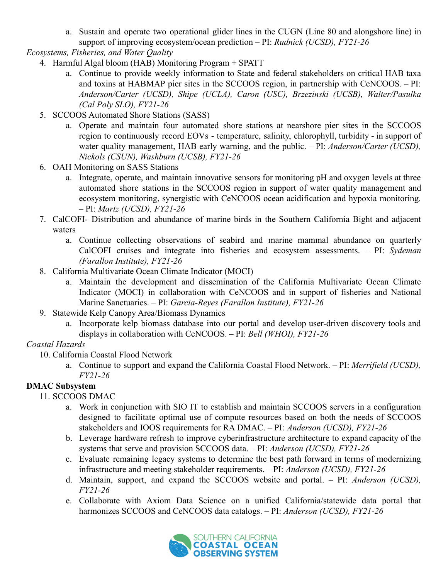a. Sustain and operate two operational glider lines in the CUGN (Line 80 and alongshore line) in support of improving ecosystem/ocean prediction – PI: *Rudnick (UCSD), FY21-26*

*Ecosystems, Fisheries, and Water Quality*

- 4. Harmful Algal bloom (HAB) Monitoring Program + SPATT
	- a. Continue to provide weekly information to State and federal stakeholders on critical HAB taxa and toxins at HABMAP pier sites in the SCCOOS region, in partnership with CeNCOOS. – PI: *Anderson/Carter (UCSD), Shipe (UCLA), Caron (USC), Brzezinski (UCSB), Walter/Pasulka (Cal Poly SLO), FY21-26*
- 5. SCCOOS Automated Shore Stations (SASS)
	- a. Operate and maintain four automated shore stations at nearshore pier sites in the SCCOOS region to continuously record EOVs - temperature, salinity, chlorophyll, turbidity - in support of water quality management, HAB early warning, and the public. – PI: *Anderson/Carter (UCSD), Nickols (CSUN), Washburn (UCSB), FY21-26*
- 6. OAH Monitoring on SASS Stations
	- a. Integrate, operate, and maintain innovative sensors for monitoring pH and oxygen levels at three automated shore stations in the SCCOOS region in support of water quality management and ecosystem monitoring, synergistic with CeNCOOS ocean acidification and hypoxia monitoring. – PI: *Martz (UCSD), FY21-26*
- 7. CalCOFI- Distribution and abundance of marine birds in the Southern California Bight and adjacent waters
	- a. Continue collecting observations of seabird and marine mammal abundance on quarterly CalCOFI cruises and integrate into fisheries and ecosystem assessments. – PI: *Sydeman (Farallon Institute), FY21-26*
- 8. California Multivariate Ocean Climate Indicator (MOCI)
	- a. Maintain the development and dissemination of the California Multivariate Ocean Climate Indicator (MOCI) in collaboration with CeNCOOS and in support of fisheries and National Marine Sanctuaries. – PI: *Garcia-Reyes (Farallon Institute), FY21-26*
- 9. Statewide Kelp Canopy Area/Biomass Dynamics
	- a. Incorporate kelp biomass database into our portal and develop user-driven discovery tools and displays in collaboration with CeNCOOS. – PI: *Bell (WHOI), FY21-26*

## *Coastal Hazards*

- 10. California Coastal Flood Network
	- a. Continue to support and expand the California Coastal Flood Network. PI: *Merrifield (UCSD), FY21-26*

## **DMAC Subsystem**

- 11. SCCOOS DMAC
	- a. Work in conjunction with SIO IT to establish and maintain SCCOOS servers in a configuration designed to facilitate optimal use of compute resources based on both the needs of SCCOOS stakeholders and IOOS requirements for RA DMAC. – PI: *Anderson (UCSD), FY21-26*
	- b. Leverage hardware refresh to improve cyberinfrastructure architecture to expand capacity of the systems that serve and provision SCCOOS data. – PI: *Anderson (UCSD), FY21-26*
	- c. Evaluate remaining legacy systems to determine the best path forward in terms of modernizing infrastructure and meeting stakeholder requirements. – PI: *Anderson (UCSD), FY21-26*
	- d. Maintain, support, and expand the SCCOOS website and portal. PI: *Anderson (UCSD), FY21-26*
	- e. Collaborate with Axiom Data Science on a unified California/statewide data portal that harmonizes SCCOOS and CeNCOOS data catalogs. – PI: *Anderson (UCSD), FY21-26*

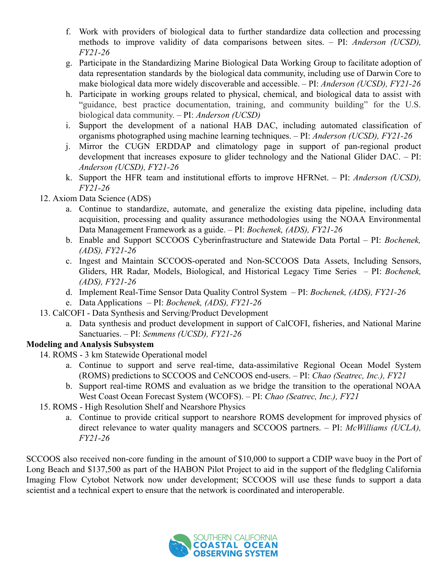- f. Work with providers of biological data to further standardize data collection and processing methods to improve validity of data comparisons between sites. – PI: *Anderson (UCSD), FY21-26*
- g. Participate in the Standardizing Marine Biological Data Working Group to facilitate adoption of data representation standards by the biological data community, including use of Darwin Core to make biological data more widely discoverable and accessible. – PI: *Anderson (UCSD), FY21-26*
- h. Participate in working groups related to physical, chemical, and biological data to assist with "guidance, best practice documentation, training, and community building" for the U.S. biological data community. – PI: *Anderson (UCSD)*
- i. Support the development of a national HAB DAC, including automated classification of organisms photographed using machine learning techniques. – PI: *Anderson (UCSD), FY21-26*
- j. Mirror the CUGN ERDDAP and climatology page in support of pan-regional product development that increases exposure to glider technology and the National Glider DAC. – PI: *Anderson (UCSD), FY21-26*
- k. Support the HFR team and institutional efforts to improve HFRNet. PI: *Anderson (UCSD), FY21-26*

## 12. Axiom Data Science (ADS)

- a. Continue to standardize, automate, and generalize the existing data pipeline, including data acquisition, processing and quality assurance methodologies using the NOAA Environmental Data Management Framework as a guide. – PI: *Bochenek, (ADS), FY21-26*
- b. Enable and Support SCCOOS Cyberinfrastructure and Statewide Data Portal PI: *Bochenek, (ADS), FY21-26*
- c. Ingest and Maintain SCCOOS-operated and Non-SCCOOS Data Assets, Including Sensors, Gliders, HR Radar, Models, Biological, and Historical Legacy Time Series – PI: *Bochenek, (ADS), FY21-26*
- d. Implement Real-Time Sensor Data Quality Control System PI: *Bochenek, (ADS), FY21-26*
- e. Data Applications PI: *Bochenek, (ADS), FY21-26*
- 13. CalCOFI Data Synthesis and Serving/Product Development
	- a. Data synthesis and product development in support of CalCOFI, fisheries, and National Marine Sanctuaries. – PI: *Semmens (UCSD), FY21-26*

## **Modeling and Analysis Subsystem**

- 14. ROMS 3 km Statewide Operational model
	- a. Continue to support and serve real-time, data-assimilative Regional Ocean Model System (ROMS) predictions to SCCOOS and CeNCOOS end-users. – PI: *Chao (Seatrec, Inc.), FY21*
	- b. Support real-time ROMS and evaluation as we bridge the transition to the operational NOAA West Coast Ocean Forecast System (WCOFS). – PI: *Chao (Seatrec, Inc.), FY21*
- 15. ROMS High Resolution Shelf and Nearshore Physics
	- a. Continue to provide critical support to nearshore ROMS development for improved physics of direct relevance to water quality managers and SCCOOS partners. – PI: *McWilliams (UCLA), FY21-26*

SCCOOS also received non-core funding in the amount of \$10,000 to support a CDIP wave buoy in the Port of Long Beach and \$137,500 as part of the HABON Pilot Project to aid in the support of the fledgling California Imaging Flow Cytobot Network now under development; SCCOOS will use these funds to support a data scientist and a technical expert to ensure that the network is coordinated and interoperable.

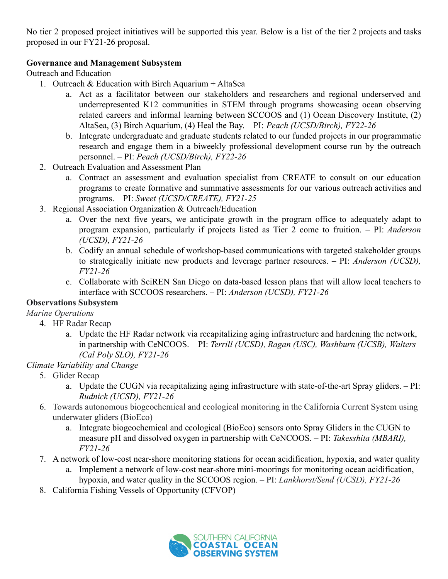No tier 2 proposed project initiatives will be supported this year. Below is a list of the tier 2 projects and tasks proposed in our FY21-26 proposal.

### **Governance and Management Subsystem**

Outreach and Education

- 1. Outreach  $& Education with Birch Aquarium + Alta Sea$ 
	- a. Act as a facilitator between our stakeholders and researchers and regional underserved and underrepresented K12 communities in STEM through programs showcasing ocean observing related careers and informal learning between SCCOOS and (1) Ocean Discovery Institute, (2) AltaSea, (3) Birch Aquarium, (4) Heal the Bay. – PI: *Peach (UCSD/Birch), FY22-26*
	- b. Integrate undergraduate and graduate students related to our funded projects in our programmatic research and engage them in a biweekly professional development course run by the outreach personnel. – PI: *Peach (UCSD/Birch), FY22-26*
- 2. Outreach Evaluation and Assessment Plan
	- a. Contract an assessment and evaluation specialist from CREATE to consult on our education programs to create formative and summative assessments for our various outreach activities and programs. – PI: *Sweet (UCSD/CREATE), FY21-25*
- 3. Regional Association Organization & Outreach/Education
	- a. Over the next five years, we anticipate growth in the program office to adequately adapt to program expansion, particularly if projects listed as Tier 2 come to fruition. – PI: *Anderson (UCSD), FY21-26*
	- b. Codify an annual schedule of workshop-based communications with targeted stakeholder groups to strategically initiate new products and leverage partner resources. – PI: *Anderson (UCSD), FY21-26*
	- c. Collaborate with SciREN San Diego on data-based lesson plans that will allow local teachers to interface with SCCOOS researchers. – PI: *Anderson (UCSD), FY21-26*

### **Observations Subsystem**

*Marine Operations*

- 4. HF Radar Recap
	- a. Update the HF Radar network via recapitalizing aging infrastructure and hardening the network, in partnership with CeNCOOS. – PI: *Terrill (UCSD), Ragan (USC), Washburn (UCSB), Walters (Cal Poly SLO), FY21-26*

## *Climate Variability and Change*

- 5. Glider Recap
	- a. Update the CUGN via recapitalizing aging infrastructure with state-of-the-art Spray gliders. PI: *Rudnick (UCSD), FY21-26*
- 6. Towards autonomous biogeochemical and ecological monitoring in the California Current System using underwater gliders (BioEco)
	- a. Integrate biogeochemical and ecological (BioEco) sensors onto Spray Gliders in the CUGN to measure pH and dissolved oxygen in partnership with CeNCOOS. – PI: *Takesshita (MBARI), FY21-26*
- 7. A network of low-cost near-shore monitoring stations for ocean acidification, hypoxia, and water quality
	- a. Implement a network of low-cost near-shore mini-moorings for monitoring ocean acidification, hypoxia, and water quality in the SCCOOS region. – PI: *Lankhorst/Send (UCSD), FY21-26*
- 8. California Fishing Vessels of Opportunity (CFVOP)

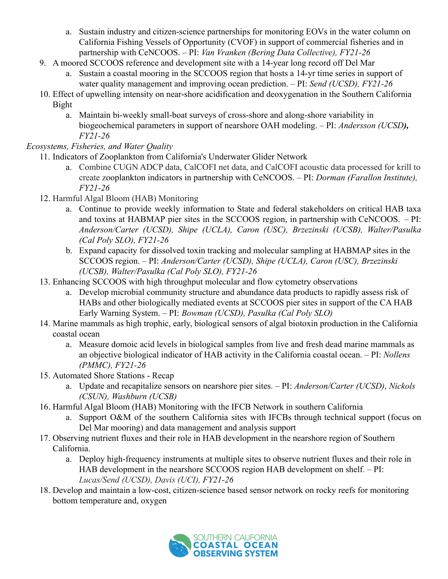- a. Sustain industry and citizen-science partnerships for monitoring EOVs in the water column on California Fishing Vessels of Opportunity (CVOF) in support of commercial fisheries and in partnership with CeNCOOS. – PI: *Van Vranken (Bering Data Collective), FY21-26*
- 9. A moored SCCOOS reference and development site with a 14-year long record off Del Mar
	- a. Sustain a coastal mooring in the SCCOOS region that hosts a 14-yr time series in support of water quality management and improving ocean prediction. – PI: *Send (UCSD), FY21-26*
- 10. Effect of upwelling intensity on near-shore acidification and deoxygenation in the Southern California Bight
	- a. Maintain bi-weekly small-boat surveys of cross-shore and along-shore variability in biogeochemical parameters in support of nearshore OAH modeling. – PI: *Andersson (UCSD), FY21-26*

*Ecosystems, Fisheries, and Water Quality*

- 11. Indicators of Zooplankton from California's Underwater Glider Network
	- a. Combine CUGN ADCP data, CalCOFI net data, and CalCOFI acoustic data processed for krill to create zooplankton indicators in partnership with CeNCOOS. – PI: *Dorman (Farallon Institute), FY21-26*
- 12. Harmful Algal Bloom (HAB) Monitoring
	- a. Continue to provide weekly information to State and federal stakeholders on critical HAB taxa and toxins at HABMAP pier sites in the SCCOOS region, in partnership with CeNCOOS. – PI: *Anderson/Carter (UCSD), Shipe (UCLA), Caron (USC), Brzezinski (UCSB), Walter/Pasulka (Cal Poly SLO), FY21-26*
	- b. Expand capacity for dissolved toxin tracking and molecular sampling at HABMAP sites in the SCCOOS region. – PI: *Anderson/Carter (UCSD), Shipe (UCLA), Caron (USC), Brzezinski (UCSB), Walter/Pasulka (Cal Poly SLO), FY21-26*
- 13. Enhancing SCCOOS with high throughput molecular and flow cytometry observations
	- a. Develop microbial community structure and abundance data products to rapidly assess risk of HABs and other biologically mediated events at SCCOOS pier sites in support of the CA HAB Early Warning System. – PI: *Bowman (UCSD), Pasulka (Cal Poly SLO)*
- 14. Marine mammals as high trophic, early, biological sensors of algal biotoxin production in the California coastal ocean
	- a. Measure domoic acid levels in biological samples from live and fresh dead marine mammals as an objective biological indicator of HAB activity in the California coastal ocean. – PI: *Nollens (PMMC), FY21-26*
- 15. Automated Shore Stations Recap
	- a. Update and recapitalize sensors on nearshore pier sites. PI: *Anderson/Carter (UCSD), Nickols (CSUN), Washburn (UCSB)*
- 16. Harmful Algal Bloom (HAB) Monitoring with the IFCB Network in southern California
	- a. Support O&M of the southern California sites with IFCBs through technical support (focus on Del Mar mooring) and data management and analysis support
- 17. Observing nutrient fluxes and their role in HAB development in the nearshore region of Southern California.
	- a. Deploy high-frequency instruments at multiple sites to observe nutrient fluxes and their role in HAB development in the nearshore SCCOOS region HAB development on shelf. – PI: *Lucas/Send (UCSD), Davis (UCI), FY21-26*
- 18. Develop and maintain a low-cost, citizen-science based sensor network on rocky reefs for monitoring bottom temperature and, oxygen

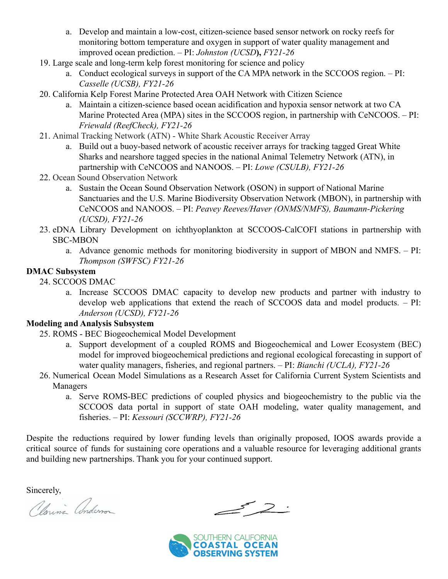- a. Develop and maintain a low-cost, citizen-science based sensor network on rocky reefs for monitoring bottom temperature and oxygen in support of water quality management and improved ocean prediction. – PI: *Johnston (UCSD***),** *FY21-26*
- 19. Large scale and long-term kelp forest monitoring for science and policy
	- a. Conduct ecological surveys in support of the CA MPA network in the SCCOOS region. PI: *Casselle (UCSB), FY21-26*
- 20. California Kelp Forest Marine Protected Area OAH Network with Citizen Science
	- a. Maintain a citizen-science based ocean acidification and hypoxia sensor network at two CA Marine Protected Area (MPA) sites in the SCCOOS region, in partnership with CeNCOOS. – PI: *Friewald (ReefCheck), FY21-26*
- 21. Animal Tracking Network (ATN) White Shark Acoustic Receiver Array
	- a. Build out a buoy-based network of acoustic receiver arrays for tracking tagged Great White Sharks and nearshore tagged species in the national Animal Telemetry Network (ATN), in partnership with CeNCOOS and NANOOS. – PI: *Lowe (CSULB), FY21-26*
- 22. Ocean Sound Observation Network
	- a. Sustain the Ocean Sound Observation Network (OSON) in support of National Marine Sanctuaries and the U.S. Marine Biodiversity Observation Network (MBON), in partnership with CeNCOOS and NANOOS. – PI: *Peavey Reeves/Haver (ONMS/NMFS), Baumann-Pickering (UCSD), FY21-26*
- 23. eDNA Library Development on ichthyoplankton at SCCOOS-CalCOFI stations in partnership with SBC-MBON
	- a. Advance genomic methods for monitoring biodiversity in support of MBON and NMFS. PI: *Thompson (SWFSC) FY21-26*

### **DMAC Subsystem**

24. SCCOOS DMAC

a. Increase SCCOOS DMAC capacity to develop new products and partner with industry to develop web applications that extend the reach of SCCOOS data and model products. – PI: *Anderson (UCSD), FY21-26*

### **Modeling and Analysis Subsystem**

- 25. ROMS BEC Biogeochemical Model Development
	- a. Support development of a coupled ROMS and Biogeochemical and Lower Ecosystem (BEC) model for improved biogeochemical predictions and regional ecological forecasting in support of water quality managers, fisheries, and regional partners. – PI: *Bianchi (UCLA), FY21-26*
- 26. Numerical Ocean Model Simulations as a Research Asset for California Current System Scientists and Managers
	- a. Serve ROMS-BEC predictions of coupled physics and biogeochemistry to the public via the SCCOOS data portal in support of state OAH modeling, water quality management, and fisheries. – PI: *Kessouri (SCCWRP), FY21-26*

Despite the reductions required by lower funding levels than originally proposed, IOOS awards provide a critical source of funds for sustaining core operations and a valuable resource for leveraging additional grants and building new partnerships. Thank you for your continued support.

Sincerely,<br>Clarini Anderson

 $\geq$   $\geq$   $\geq$ 

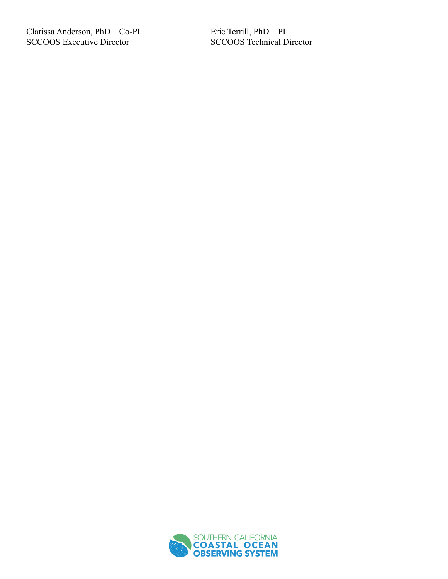Clarissa Anderson, PhD - Co-PI SCCOOS Executive Director

Eric Terrill, PhD - PI SCCOOS Technical Director

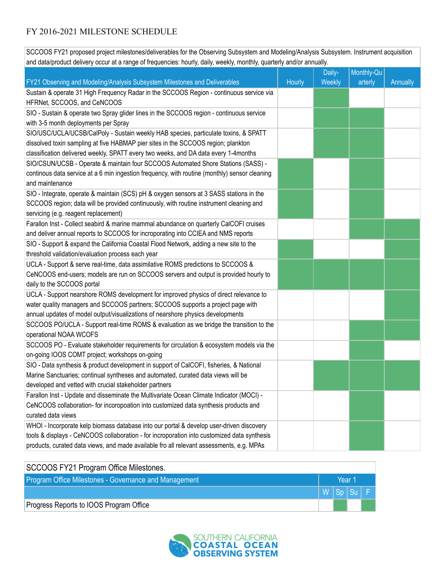# FY 2016-2021 MILESTONE SCHEDULE

SCCOOS FY21 proposed project milestones/deliverables for the Observing Subsystem and Modeling/Analysis Subsystem. Instrument acquisition and data/product delivery occur at a range of frequencies: hourly, daily, weekly, monthly, quarterly and/or annually.

|                                                                                               |        | Daily- | Monthly-Qu |          |
|-----------------------------------------------------------------------------------------------|--------|--------|------------|----------|
| FY21 Observing and Modeling/Analysis Subsystem Milestones and Deliverables                    | Hourly | Weekly | arterly    | Annually |
| Sustain & operate 31 High Frequency Radar in the SCCOOS Region - continuous service via       |        |        |            |          |
| HFRNet, SCCOOS, and CeNCOOS                                                                   |        |        |            |          |
| SIO - Sustain & operate two Spray glider lines in the SCCOOS region - continuous service      |        |        |            |          |
| with 3-5 month deployments per Spray                                                          |        |        |            |          |
| SIO/USC/UCLA/UCSB/CalPoly - Sustain weekly HAB species, particulate toxins, & SPATT           |        |        |            |          |
| dissolved toxin sampling at five HABMAP pier sites in the SCCOOS region; plankton             |        |        |            |          |
| classification delivered weekly, SPATT every two weeks, and DA data every 1-4months           |        |        |            |          |
| SIO/CSUN/UCSB - Operate & maintain four SCCOOS Automated Shore Stations (SASS) -              |        |        |            |          |
| continous data service at a 6 min ingestion frequency, with routine (monthly) sensor cleaning |        |        |            |          |
| and maintenance                                                                               |        |        |            |          |
| SIO - Integrate, operate & maintain (SCS) pH & oxygen sensors at 3 SASS stations in the       |        |        |            |          |
| SCCOOS region; data will be provided continuously, with routine instrument cleaning and       |        |        |            |          |
| servicing (e.g. reagent replacement)                                                          |        |        |            |          |
| Farallon Inst - Collect seabird & marine mammal abundance on quarterly CalCOFI cruises        |        |        |            |          |
| and deliver annual reports to SCCOOS for incroporating into CCIEA and NMS reports             |        |        |            |          |
| SIO - Support & expand the California Coastal Flood Network, adding a new site to the         |        |        |            |          |
| threshold validation/evaluation process each year                                             |        |        |            |          |
| UCLA - Support & serve real-time, data assimilative ROMS predictions to SCCOOS &              |        |        |            |          |
| CeNCOOS end-users; models are run on SCCOOS servers and output is provided hourly to          |        |        |            |          |
| daily to the SCCOOS portal                                                                    |        |        |            |          |
| UCLA - Support nearshore ROMS development for improved physics of direct relevance to         |        |        |            |          |
| water quality managers and SCCOOS partners; SCCOOS supports a project page with               |        |        |            |          |
| annual updates of model output/visualizations of nearshore physics developments               |        |        |            |          |
| SCCOOS PO/UCLA - Support real-time ROMS & evaluation as we bridge the transition to the       |        |        |            |          |
| operational NOAA WCOFS                                                                        |        |        |            |          |
| SCCOOS PO - Evaluate stakeholder requirements for circulation & ecosystem models via the      |        |        |            |          |
| on-going IOOS COMT project; workshops on-going                                                |        |        |            |          |
| SIO - Data synthesis & product development in support of CalCOFI, fisheries, & National       |        |        |            |          |
| Marine Sanctuaries; continual syntheses and automated, curated data views will be             |        |        |            |          |
| developed and vetted with crucial stakeholder partners                                        |        |        |            |          |
| Farallon Inst - Update and disseminate the Multivariate Ocean Climate Indicator (MOCI) -      |        |        |            |          |
| CeNCOOS collaboration- for incoropoation into customized data synthesis products and          |        |        |            |          |
| curated data views                                                                            |        |        |            |          |
| WHOI - Incorporate kelp biomass database into our portal & develop user-driven discovery      |        |        |            |          |
| tools & displays - CeNCOOS collaboration - for incroporation into customized data synthesis   |        |        |            |          |
| products, curated data views, and made available fro all relevant assessments, e.g. MPAs      |        |        |            |          |
|                                                                                               |        |        |            |          |

| SCCOOS FY21 Program Office Milestones.                |        |  |        |
|-------------------------------------------------------|--------|--|--------|
| Program Office Milestones - Governance and Management | Year 1 |  |        |
|                                                       |        |  | WSpSuF |
| Progress Reports to IOOS Program Office               |        |  |        |